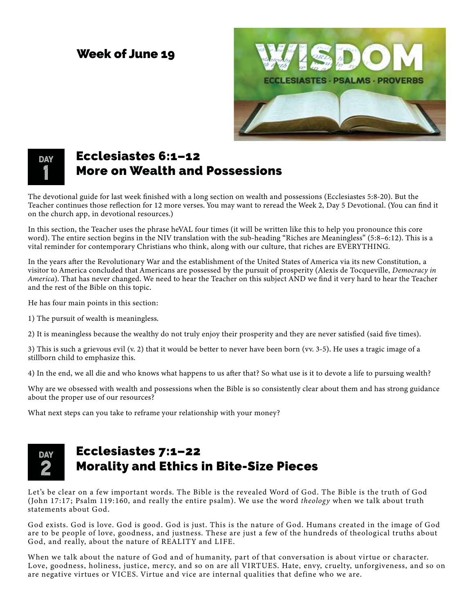#### Week of June 19



# **DAY 1**

## Ecclesiastes 6:1–12 More on Wealth and Possessions

The devotional guide for last week finished with a long section on wealth and possessions (Ecclesiastes 5:8-20). But the Teacher continues those reflection for 12 more verses. You may want to reread the Week 2, Day 5 Devotional. (You can find it on the church app, in devotional resources.)

In this section, the Teacher uses the phrase heVAL four times (it will be written like this to help you pronounce this core word). The entire section begins in the NIV translation with the sub-heading "Riches are Meaningless" (5:8–6:12). This is a vital reminder for contemporary Christians who think, along with our culture, that riches are EVERYTHING.

In the years after the Revolutionary War and the establishment of the United States of America via its new Constitution, a visitor to America concluded that Americans are possessed by the pursuit of prosperity (Alexis de Tocqueville, *Democracy in America*). That has never changed. We need to hear the Teacher on this subject AND we find it very hard to hear the Teacher and the rest of the Bible on this topic.

He has four main points in this section:

1) The pursuit of wealth is meaningless.

2) It is meaningless because the wealthy do not truly enjoy their prosperity and they are never satisfied (said five times).

3) This is such a grievous evil (v. 2) that it would be better to never have been born (vv. 3-5). He uses a tragic image of a stillborn child to emphasize this.

4) In the end, we all die and who knows what happens to us after that? So what use is it to devote a life to pursuing wealth?

Why are we obsessed with wealth and possessions when the Bible is so consistently clear about them and has strong guidance about the proper use of our resources?

What next steps can you take to reframe your relationship with your money?

## **DAY 2**

### Ecclesiastes 7:1–22 Morality and Ethics in Bite-Size Pieces

Let's be clear on a few important words. The Bible is the revealed Word of God. The Bible is the truth of God (John 17:17; Psalm 119:160, and really the entire psalm). We use the word *theology* when we talk about truth statements about God.

God exists. God is love. God is good. God is just. This is the nature of God. Humans created in the image of God are to be people of love, goodness, and justness. These are just a few of the hundreds of theological truths about God, and really, about the nature of REALITY and LIFE.

When we talk about the nature of God and of humanity, part of that conversation is about virtue or character. Love, goodness, holiness, justice, mercy, and so on are all VIRTUES. Hate, envy, cruelty, unforgiveness, and so on are negative virtues or VICES. Virtue and vice are internal qualities that define who we are.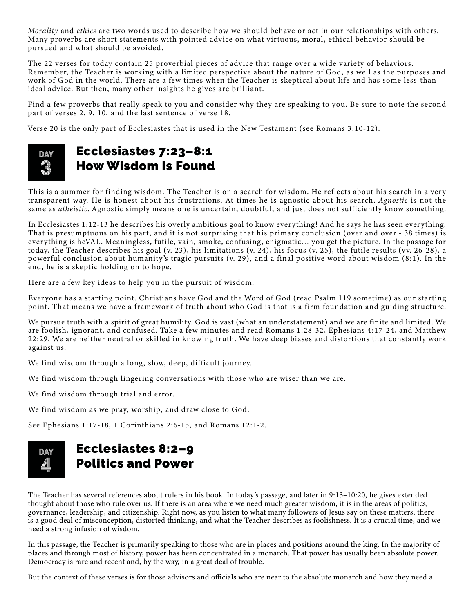*Morality* and *ethics* are two words used to describe how we should behave or act in our relationships with others. Many proverbs are short statements with pointed advice on what virtuous, moral, ethical behavior should be pursued and what should be avoided.

The 22 verses for today contain 25 proverbial pieces of advice that range over a wide variety of behaviors. Remember, the Teacher is working with a limited perspective about the nature of God, as well as the purposes and work of God in the world. There are a few times when the Teacher is skeptical about life and has some less-thanideal advice. But then, many other insights he gives are brilliant.

Find a few proverbs that really speak to you and consider why they are speaking to you. Be sure to note the second part of verses 2, 9, 10, and the last sentence of verse 18.

Verse 20 is the only part of Ecclesiastes that is used in the New Testament (see Romans 3:10-12).



#### Ecclesiastes 7:23–8:1 How Wisdom Is Found

This is a summer for finding wisdom. The Teacher is on a search for wisdom. He reflects about his search in a very transparent way. He is honest about his frustrations. At times he is agnostic about his search. *Agnostic* is not the same as *atheistic*. Agnostic simply means one is uncertain, doubtful, and just does not sufficiently know something.

In Ecclesiastes 1:12-13 he describes his overly ambitious goal to know everything! And he says he has seen everything. That is presumptuous on his part, and it is not surprising that his primary conclusion (over and over - 38 times) is everything is heVAL. Meaningless, futile, vain, smoke, confusing, enigmatic… you get the picture. In the passage for today, the Teacher describes his goal (v. 23), his limitations (v. 24), his focus (v. 25), the futile results (vv. 26-28), a powerful conclusion about humanity 's tragic pursuits (v. 29), and a final positive word about wisdom (8:1). In the end, he is a skeptic holding on to hope.

Here are a few key ideas to help you in the pursuit of wisdom.

Everyone has a starting point. Christians have God and the Word of God (read Psalm 119 sometime) as our starting point. That means we have a framework of truth about who God is that is a firm foundation and guiding structure.

We pursue truth with a spirit of great humility. God is vast (what an understatement) and we are finite and limited. We are foolish, ignorant, and confused. Take a few minutes and read Romans 1:28-32, Ephesians 4:17-24, and Matthew 22:29. We are neither neutral or skilled in knowing truth. We have deep biases and distortions that constantly work against us.

We find wisdom through a long, slow, deep, difficult journey.

We find wisdom through lingering conversations with those who are wiser than we are.

We find wisdom through trial and error.

We find wisdom as we pray, worship, and draw close to God.

See Ephesians 1:17-18, 1 Corinthians 2:6-15, and Romans 12:1-2.

#### Ecclesiastes 8:2–9 Politics and Power **DAY 4**

The Teacher has several references about rulers in his book. In today's passage, and later in 9:13–10:20, he gives extended thought about those who rule over us. If there is an area where we need much greater wisdom, it is in the areas of politics, governance, leadership, and citizenship. Right now, as you listen to what many followers of Jesus say on these matters, there is a good deal of misconception, distorted thinking, and what the Teacher describes as foolishness. It is a crucial time, and we need a strong infusion of wisdom.

In this passage, the Teacher is primarily speaking to those who are in places and positions around the king. In the majority of places and through most of history, power has been concentrated in a monarch. That power has usually been absolute power. Democracy is rare and recent and, by the way, in a great deal of trouble.

But the context of these verses is for those advisors and officials who are near to the absolute monarch and how they need a